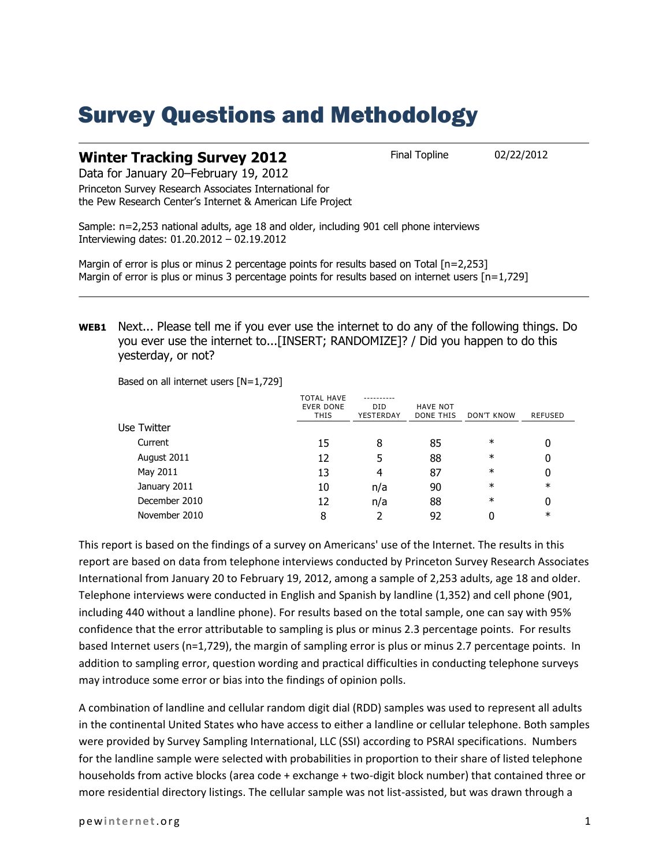## Survey Questions and Methodology

| <b>Winter Tracking Survey 2012</b> | <b>Final Topline</b> | 02/22/2012 |
|------------------------------------|----------------------|------------|
|------------------------------------|----------------------|------------|

Data for January 20–February 19, 2012

Princeton Survey Research Associates International for the Pew Research Center's Internet & American Life Project

Sample: n=2,253 national adults, age 18 and older, including 901 cell phone interviews Interviewing dates: 01.20.2012 – 02.19.2012

Margin of error is plus or minus 2 percentage points for results based on Total [n=2,253] Margin of error is plus or minus 3 percentage points for results based on internet users [n=1,729]

**WEB1** Next... Please tell me if you ever use the internet to do any of the following things. Do you ever use the internet to...[INSERT; RANDOMIZE]? / Did you happen to do this yesterday, or not?

Based on all internet users [N=1,729]

|               | <b>TOTAL HAVE</b><br><b>EVER DONE</b><br><b>THIS</b> | <b>DID</b><br>YESTERDAY | <b>HAVE NOT</b><br>DONE THIS | <b>DON'T KNOW</b> | <b>REFUSED</b> |
|---------------|------------------------------------------------------|-------------------------|------------------------------|-------------------|----------------|
| Use Twitter   |                                                      |                         |                              |                   |                |
| Current       | 15                                                   | 8                       | 85                           | $\ast$            | 0              |
| August 2011   | 12                                                   | 5                       | 88                           | $\ast$            | 0              |
| May 2011      | 13                                                   | 4                       | 87                           | $\ast$            | 0              |
| January 2011  | 10                                                   | n/a                     | 90                           | $\ast$            | $\ast$         |
| December 2010 | 12                                                   | n/a                     | 88                           | $\ast$            | 0              |
| November 2010 | 8                                                    |                         | 92                           |                   | $\ast$         |

This report is based on the findings of a survey on Americans' use of the Internet. The results in this report are based on data from telephone interviews conducted by Princeton Survey Research Associates International from January 20 to February 19, 2012, among a sample of 2,253 adults, age 18 and older. Telephone interviews were conducted in English and Spanish by landline (1,352) and cell phone (901, including 440 without a landline phone). For results based on the total sample, one can say with 95% confidence that the error attributable to sampling is plus or minus 2.3 percentage points. For results based Internet users (n=1,729), the margin of sampling error is plus or minus 2.7 percentage points. In addition to sampling error, question wording and practical difficulties in conducting telephone surveys may introduce some error or bias into the findings of opinion polls.

A combination of landline and cellular random digit dial (RDD) samples was used to represent all adults in the continental United States who have access to either a landline or cellular telephone. Both samples were provided by Survey Sampling International, LLC (SSI) according to PSRAI specifications. Numbers for the landline sample were selected with probabilities in proportion to their share of listed telephone households from active blocks (area code + exchange + two-digit block number) that contained three or more residential directory listings. The cellular sample was not list-assisted, but was drawn through a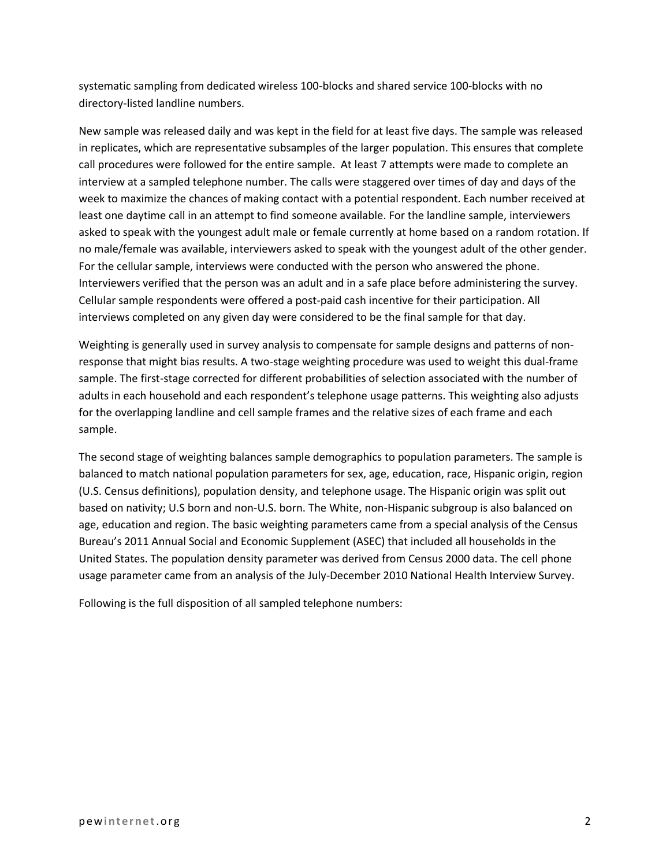systematic sampling from dedicated wireless 100-blocks and shared service 100-blocks with no directory-listed landline numbers.

New sample was released daily and was kept in the field for at least five days. The sample was released in replicates, which are representative subsamples of the larger population. This ensures that complete call procedures were followed for the entire sample. At least 7 attempts were made to complete an interview at a sampled telephone number. The calls were staggered over times of day and days of the week to maximize the chances of making contact with a potential respondent. Each number received at least one daytime call in an attempt to find someone available. For the landline sample, interviewers asked to speak with the youngest adult male or female currently at home based on a random rotation. If no male/female was available, interviewers asked to speak with the youngest adult of the other gender. For the cellular sample, interviews were conducted with the person who answered the phone. Interviewers verified that the person was an adult and in a safe place before administering the survey. Cellular sample respondents were offered a post-paid cash incentive for their participation. All interviews completed on any given day were considered to be the final sample for that day.

Weighting is generally used in survey analysis to compensate for sample designs and patterns of nonresponse that might bias results. A two-stage weighting procedure was used to weight this dual-frame sample. The first-stage corrected for different probabilities of selection associated with the number of adults in each household and each respondent's telephone usage patterns. This weighting also adjusts for the overlapping landline and cell sample frames and the relative sizes of each frame and each sample.

The second stage of weighting balances sample demographics to population parameters. The sample is balanced to match national population parameters for sex, age, education, race, Hispanic origin, region (U.S. Census definitions), population density, and telephone usage. The Hispanic origin was split out based on nativity; U.S born and non-U.S. born. The White, non-Hispanic subgroup is also balanced on age, education and region. The basic weighting parameters came from a special analysis of the Census Bureau's 2011 Annual Social and Economic Supplement (ASEC) that included all households in the United States. The population density parameter was derived from Census 2000 data. The cell phone usage parameter came from an analysis of the July-December 2010 National Health Interview Survey.

Following is the full disposition of all sampled telephone numbers: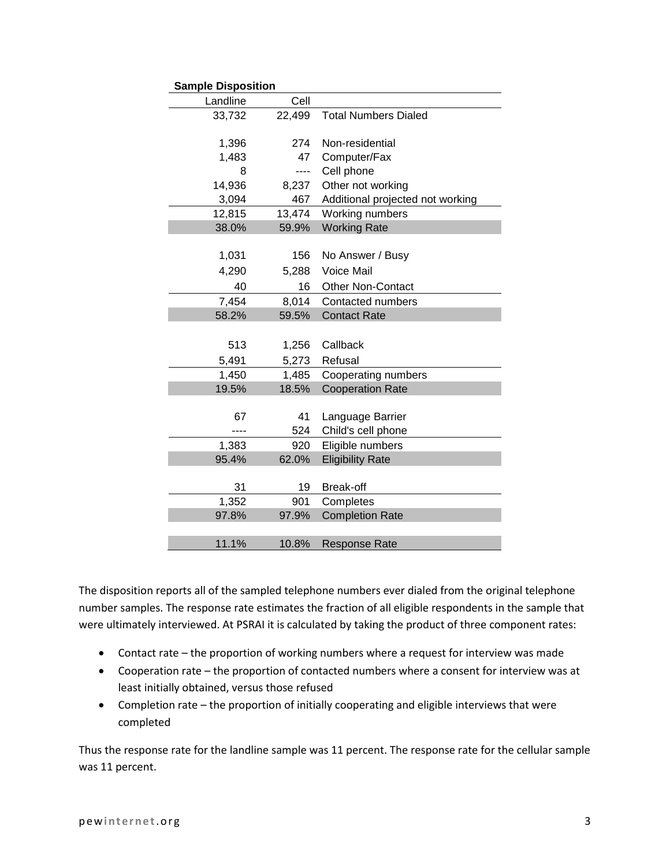| <b>Sample Disposition</b> |        |                                  |
|---------------------------|--------|----------------------------------|
| Landline                  | Cell   |                                  |
| 33,732                    | 22,499 | <b>Total Numbers Dialed</b>      |
|                           |        |                                  |
| 1,396                     | 274    | Non-residential                  |
| 1,483                     | 47     | Computer/Fax                     |
| 8                         | ----   | Cell phone                       |
| 14,936                    | 8,237  | Other not working                |
| 3,094                     | 467    | Additional projected not working |
| 12,815                    | 13,474 | Working numbers                  |
| 38.0%                     | 59.9%  | <b>Working Rate</b>              |
|                           |        |                                  |
| 1,031                     | 156    | No Answer / Busy                 |
| 4,290                     | 5,288  | Voice Mail                       |
| 40                        | 16     | <b>Other Non-Contact</b>         |
| 7,454                     | 8,014  | Contacted numbers                |
| 58.2%                     | 59.5%  | <b>Contact Rate</b>              |
|                           |        |                                  |
| 513                       | 1,256  | Callback                         |
| 5,491                     | 5,273  | Refusal                          |
| 1,450                     | 1,485  | Cooperating numbers              |
| 19.5%                     | 18.5%  | <b>Cooperation Rate</b>          |
|                           |        |                                  |
| 67                        | 41     | Language Barrier                 |
|                           | 524    | Child's cell phone               |
| 1,383                     | 920    | Eligible numbers                 |
| 95.4%                     | 62.0%  | <b>Eligibility Rate</b>          |
|                           |        |                                  |
| 31                        | 19     | Break-off                        |
| 1,352                     | 901    | Completes                        |
| 97.8%                     | 97.9%  | <b>Completion Rate</b>           |
|                           |        |                                  |
| 11.1%                     | 10.8%  | <b>Response Rate</b>             |

The disposition reports all of the sampled telephone numbers ever dialed from the original telephone number samples. The response rate estimates the fraction of all eligible respondents in the sample that were ultimately interviewed. At PSRAI it is calculated by taking the product of three component rates:

- Contact rate the proportion of working numbers where a request for interview was made
- Cooperation rate the proportion of contacted numbers where a consent for interview was at least initially obtained, versus those refused
- Completion rate the proportion of initially cooperating and eligible interviews that were completed

Thus the response rate for the landline sample was 11 percent. The response rate for the cellular sample was 11 percent.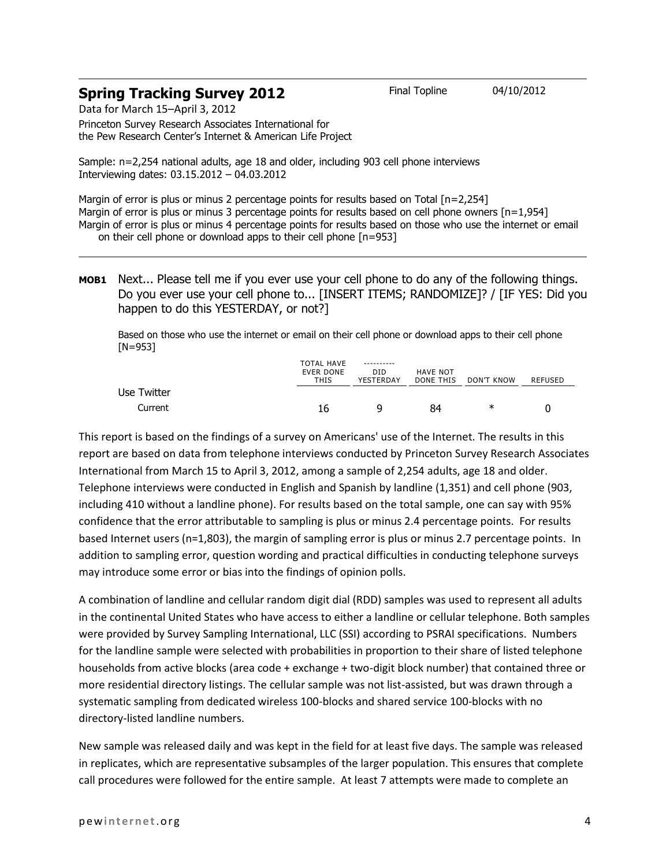## **Spring Tracking Survey 2012** Final Topline 04/10/2012

Data for March 15–April 3, 2012 Princeton Survey Research Associates International for

the Pew Research Center's Internet & American Life Project

Sample: n=2,254 national adults, age 18 and older, including 903 cell phone interviews Interviewing dates: 03.15.2012 – 04.03.2012

Margin of error is plus or minus 2 percentage points for results based on Total [n=2,254] Margin of error is plus or minus 3 percentage points for results based on cell phone owners [n=1,954] Margin of error is plus or minus 4 percentage points for results based on those who use the internet or email on their cell phone or download apps to their cell phone [n=953]

## **MOB1** Next... Please tell me if you ever use your cell phone to do any of the following things. Do you ever use your cell phone to... [INSERT ITEMS; RANDOMIZE]? / [IF YES: Did you happen to do this YESTERDAY, or not?]

Based on those who use the internet or email on their cell phone or download apps to their cell phone [N=953]

|             | <b>TOTAL HAVE</b><br><b>EVER DONE</b><br>THIS | ----------<br>DID.<br>YESTERDAY | HAVE NOT<br>DONE THIS | DON'T KNOW | REFUSED |
|-------------|-----------------------------------------------|---------------------------------|-----------------------|------------|---------|
| Use Twitter |                                               |                                 |                       |            |         |
| Current     | 16                                            |                                 | 84                    | ∗          |         |

This report is based on the findings of a survey on Americans' use of the Internet. The results in this report are based on data from telephone interviews conducted by Princeton Survey Research Associates International from March 15 to April 3, 2012, among a sample of 2,254 adults, age 18 and older. Telephone interviews were conducted in English and Spanish by landline (1,351) and cell phone (903, including 410 without a landline phone). For results based on the total sample, one can say with 95% confidence that the error attributable to sampling is plus or minus 2.4 percentage points. For results based Internet users (n=1,803), the margin of sampling error is plus or minus 2.7 percentage points. In addition to sampling error, question wording and practical difficulties in conducting telephone surveys may introduce some error or bias into the findings of opinion polls.

A combination of landline and cellular random digit dial (RDD) samples was used to represent all adults in the continental United States who have access to either a landline or cellular telephone. Both samples were provided by Survey Sampling International, LLC (SSI) according to PSRAI specifications. Numbers for the landline sample were selected with probabilities in proportion to their share of listed telephone households from active blocks (area code + exchange + two-digit block number) that contained three or more residential directory listings. The cellular sample was not list-assisted, but was drawn through a systematic sampling from dedicated wireless 100-blocks and shared service 100-blocks with no directory-listed landline numbers.

New sample was released daily and was kept in the field for at least five days. The sample was released in replicates, which are representative subsamples of the larger population. This ensures that complete call procedures were followed for the entire sample. At least 7 attempts were made to complete an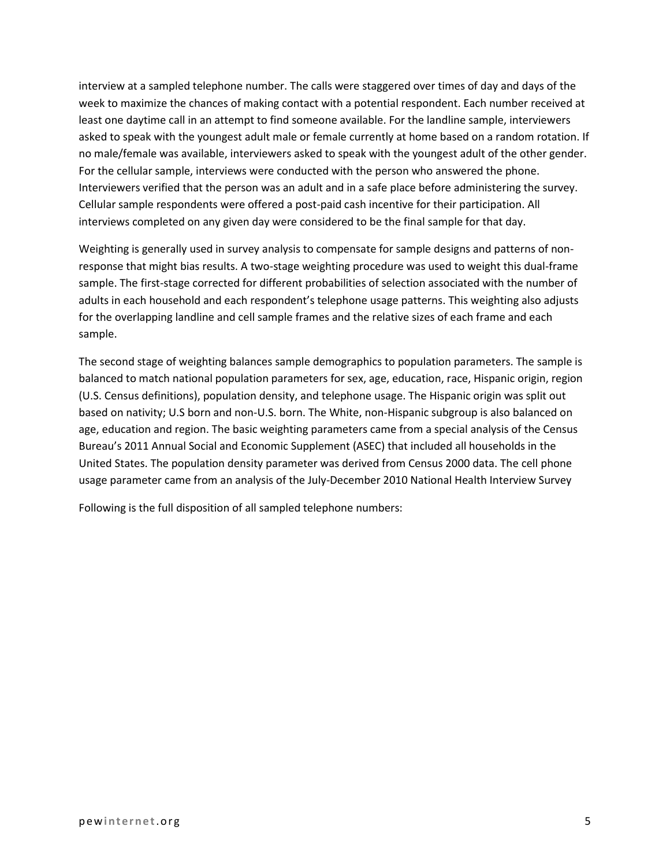interview at a sampled telephone number. The calls were staggered over times of day and days of the week to maximize the chances of making contact with a potential respondent. Each number received at least one daytime call in an attempt to find someone available. For the landline sample, interviewers asked to speak with the youngest adult male or female currently at home based on a random rotation. If no male/female was available, interviewers asked to speak with the youngest adult of the other gender. For the cellular sample, interviews were conducted with the person who answered the phone. Interviewers verified that the person was an adult and in a safe place before administering the survey. Cellular sample respondents were offered a post-paid cash incentive for their participation. All interviews completed on any given day were considered to be the final sample for that day.

Weighting is generally used in survey analysis to compensate for sample designs and patterns of nonresponse that might bias results. A two-stage weighting procedure was used to weight this dual-frame sample. The first-stage corrected for different probabilities of selection associated with the number of adults in each household and each respondent's telephone usage patterns. This weighting also adjusts for the overlapping landline and cell sample frames and the relative sizes of each frame and each sample.

The second stage of weighting balances sample demographics to population parameters. The sample is balanced to match national population parameters for sex, age, education, race, Hispanic origin, region (U.S. Census definitions), population density, and telephone usage. The Hispanic origin was split out based on nativity; U.S born and non-U.S. born. The White, non-Hispanic subgroup is also balanced on age, education and region. The basic weighting parameters came from a special analysis of the Census Bureau's 2011 Annual Social and Economic Supplement (ASEC) that included all households in the United States. The population density parameter was derived from Census 2000 data. The cell phone usage parameter came from an analysis of the July-December 2010 National Health Interview Survey

Following is the full disposition of all sampled telephone numbers: